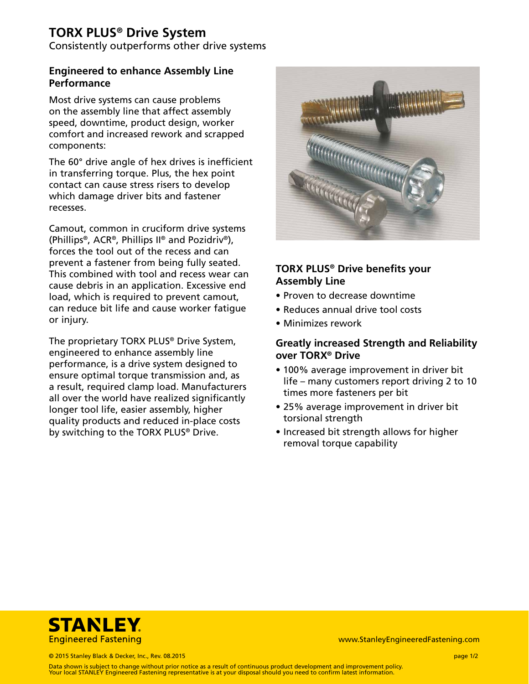# **TORX PLUS® Drive System**

Consistently outperforms other drive systems

### **Engineered to enhance Assembly Line Performance**

Most drive systems can cause problems on the assembly line that affect assembly speed, downtime, product design, worker comfort and increased rework and scrapped components:

The 60° drive angle of hex drives is inefficient in transferring torque. Plus, the hex point contact can cause stress risers to develop which damage driver bits and fastener recesses.

Camout, common in cruciform drive systems (Phillips®, ACR®, Phillips II® and Pozidriv®), forces the tool out of the recess and can prevent a fastener from being fully seated. This combined with tool and recess wear can cause debris in an application. Excessive end load, which is required to prevent camout, can reduce bit life and cause worker fatigue or injury.

The proprietary TORX PLUS® Drive System, engineered to enhance assembly line performance, is a drive system designed to ensure optimal torque transmission and, as a result, required clamp load. Manufacturers all over the world have realized significantly longer tool life, easier assembly, higher quality products and reduced in-place costs by switching to the TORX PLUS® Drive.



## **TORX PLUS® Drive benefits your Assembly Line**

- Proven to decrease downtime
- Reduces annual drive tool costs
- Minimizes rework

## **Greatly increased Strength and Reliability over TORX® Drive**

- 100% average improvement in driver bit life – many customers report driving 2 to 10 times more fasteners per bit
- 25% average improvement in driver bit torsional strength
- Increased bit strength allows for higher removal torque capability



www.StanleyEngineeredFastening.com

© 2015 Stanley Black & Decker, Inc., Rev. 08.2015 page 1/2

Data shown is subject to change without prior notice as a result of continuous product development and improvement policy. Your local STANLEY Engineered Fastening representative is at your disposal should you need to confirm latest information.